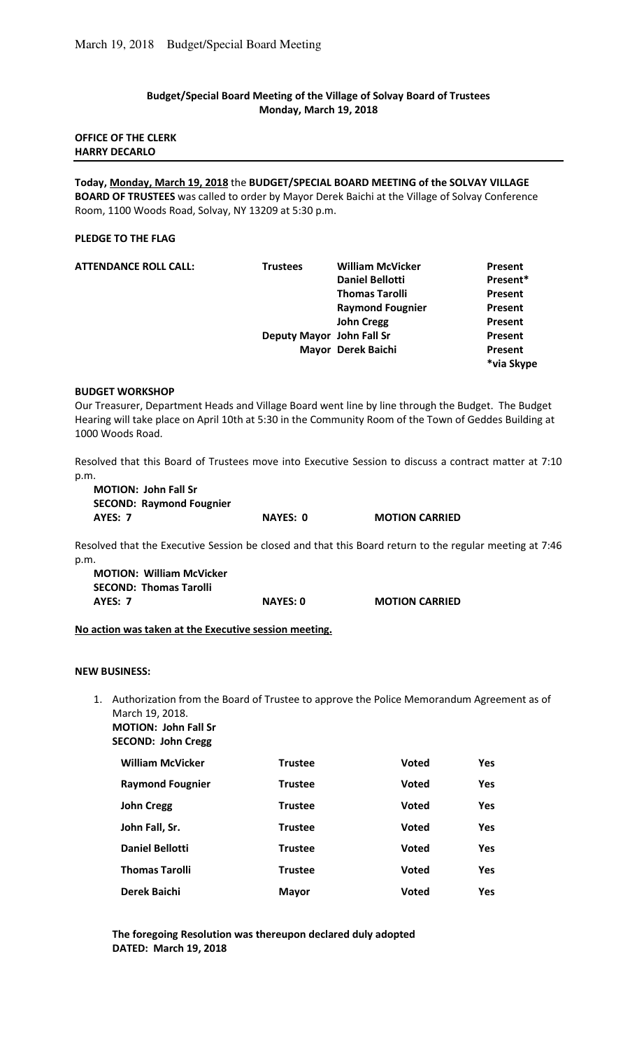# **Budget/Special Board Meeting of the Village of Solvay Board of Trustees Monday, March 19, 2018**

## **OFFICE OF THE CLERK HARRY DECARLO**

**Today, Monday, March 19, 2018** the **BUDGET/SPECIAL BOARD MEETING of the SOLVAY VILLAGE BOARD OF TRUSTEES** was called to order by Mayor Derek Baichi at the Village of Solvay Conference Room, 1100 Woods Road, Solvay, NY 13209 at 5:30 p.m.

## **PLEDGE TO THE FLAG**

| <b>ATTENDANCE ROLL CALL:</b> | <b>Trustees</b> | <b>William McVicker</b>   | Present    |
|------------------------------|-----------------|---------------------------|------------|
|                              |                 | <b>Daniel Bellotti</b>    | Present*   |
|                              |                 | <b>Thomas Tarolli</b>     | Present    |
|                              |                 | <b>Raymond Fougnier</b>   | Present    |
|                              |                 | <b>John Cregg</b>         | Present    |
|                              |                 | Deputy Mayor John Fall Sr | Present    |
|                              |                 | Mayor Derek Baichi        | Present    |
|                              |                 |                           | *via Skype |

#### **BUDGET WORKSHOP**

Our Treasurer, Department Heads and Village Board went line by line through the Budget. The Budget Hearing will take place on April 10th at 5:30 in the Community Room of the Town of Geddes Building at 1000 Woods Road.

Resolved that this Board of Trustees move into Executive Session to discuss a contract matter at 7:10 p.m.

| <b>MOTION: John Fall Sr</b>     |          |                       |
|---------------------------------|----------|-----------------------|
| <b>SECOND: Raymond Fougnier</b> |          |                       |
| AYES: 7                         | NAYES: 0 | <b>MOTION CARRIED</b> |

Resolved that the Executive Session be closed and that this Board return to the regular meeting at 7:46 p.m.

| <b>MOTION: William McVicker</b> |                 |                       |
|---------------------------------|-----------------|-----------------------|
| <b>SECOND: Thomas Tarolli</b>   |                 |                       |
| AYES: 7                         | <b>NAYES: 0</b> | <b>MOTION CARRIED</b> |

**No action was taken at the Executive session meeting.**

#### **NEW BUSINESS:**

1. Authorization from the Board of Trustee to approve the Police Memorandum Agreement as of March 19, 2018. **MOTION: John Fall Sr** 

**SECOND: John Cregg** 

| <b>William McVicker</b> | <b>Trustee</b> | <b>Voted</b> | <b>Yes</b> |
|-------------------------|----------------|--------------|------------|
| <b>Raymond Fougnier</b> | <b>Trustee</b> | <b>Voted</b> | Yes        |
| <b>John Cregg</b>       | <b>Trustee</b> | <b>Voted</b> | Yes        |
| John Fall, Sr.          | <b>Trustee</b> | <b>Voted</b> | Yes        |
| <b>Daniel Bellotti</b>  | <b>Trustee</b> | <b>Voted</b> | <b>Yes</b> |
| <b>Thomas Tarolli</b>   | <b>Trustee</b> | <b>Voted</b> | Yes        |
| Derek Baichi            | <b>Mayor</b>   | <b>Voted</b> | <b>Yes</b> |

**The foregoing Resolution was thereupon declared duly adopted DATED: March 19, 2018**